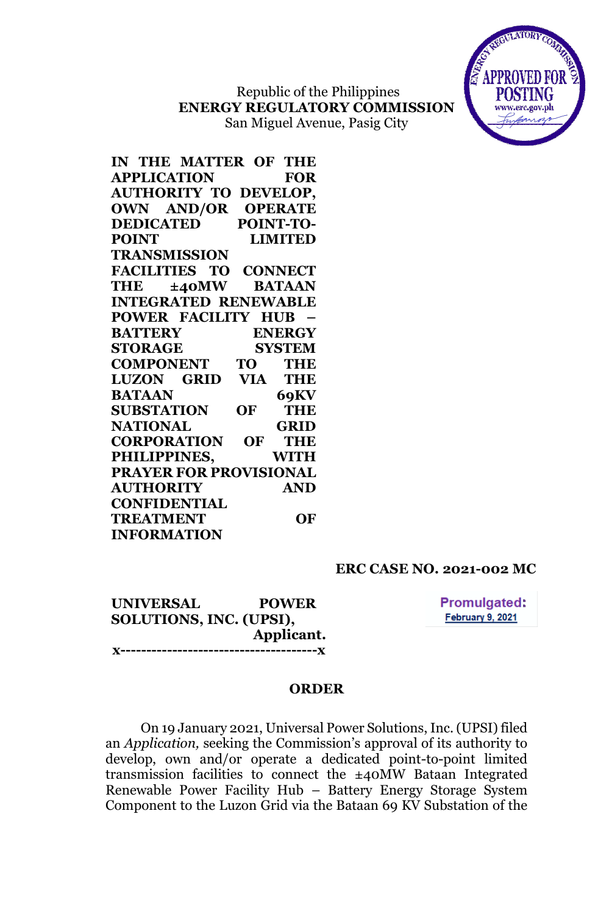Republic of the Philippines **ENERGY REGULATORY COMMISSION** San Miguel Avenue, Pasig City



**IN THE MATTER OF THE APPLICATION FOR AUTHORITY TO DEVELOP, OWN AND/OR OPERATE DEDICATED POINT-TO-POINT LIMITED TRANSMISSION FACILITIES TO CONNECT THE ±40MW BATAAN INTEGRATED RENEWABLE POWER FACILITY HUB – BATTERY ENERGY STORAGE SYSTEM COMPONENT TO THE LUZON GRID VIA THE BATAAN 69KV SUBSTATION OF THE NATIONAL GRID CORPORATION OF THE PHILIPPINES, WITH PRAYER FOR PROVISIONAL AUTHORITY AND CONFIDENTIAL TREATMENT OF INFORMATION**

## **ERC CASE NO. 2021-002 MC**

**UNIVERSAL POWER SOLUTIONS, INC. (UPSI), Applicant. x--------------------------------------x** **Promulgated:** February 9, 2021

### **ORDER**

On 19 January 2021, Universal Power Solutions, Inc. (UPSI) filed an *Application,* seeking the Commission's approval of its authority to develop, own and/or operate a dedicated point-to-point limited transmission facilities to connect the ±40MW Bataan Integrated Renewable Power Facility Hub – Battery Energy Storage System Component to the Luzon Grid via the Bataan 69 KV Substation of the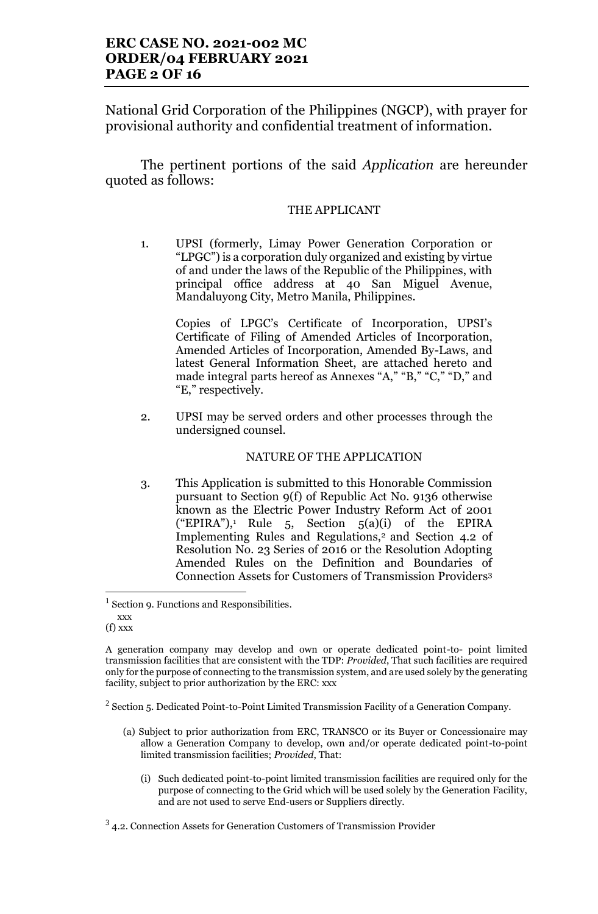National Grid Corporation of the Philippines (NGCP), with prayer for provisional authority and confidential treatment of information.

The pertinent portions of the said *Application* are hereunder quoted as follows:

### THE APPLICANT

1. UPSI (formerly, Limay Power Generation Corporation or "LPGC") is a corporation duly organized and existing by virtue of and under the laws of the Republic of the Philippines, with principal office address at 40 San Miguel Avenue, Mandaluyong City, Metro Manila, Philippines.

Copies of LPGC's Certificate of Incorporation, UPSI's Certificate of Filing of Amended Articles of Incorporation, Amended Articles of Incorporation, Amended By-Laws, and latest General Information Sheet, are attached hereto and made integral parts hereof as Annexes "A," "B," "C," "D," and "E," respectively.

2. UPSI may be served orders and other processes through the undersigned counsel.

#### NATURE OF THE APPLICATION

3. This Application is submitted to this Honorable Commission pursuant to Section 9(f) of Republic Act No. 9136 otherwise known as the Electric Power Industry Reform Act of 2001 ("EPIRA"),<sup>1</sup> Rule 5, Section 5(a)(i) of the EPIRA Implementing Rules and Regulations,<sup>2</sup> and Section 4.2 of Resolution No. 23 Series of 2016 or the Resolution Adopting Amended Rules on the Definition and Boundaries of Connection Assets for Customers of Transmission Providers<sup>3</sup>

- (a) Subject to prior authorization from ERC, TRANSCO or its Buyer or Concessionaire may allow a Generation Company to develop, own and/or operate dedicated point-to-point limited transmission facilities; *Provided*, That:
	- (i) Such dedicated point-to-point limited transmission facilities are required only for the purpose of connecting to the Grid which will be used solely by the Generation Facility, and are not used to serve End-users or Suppliers directly.

<sup>&</sup>lt;sup>1</sup> Section 9. Functions and Responsibilities.

xxx (f) xxx

A generation company may develop and own or operate dedicated point-to- point limited transmission facilities that are consistent with the TDP: *Provided*, That such facilities are required only for the purpose of connecting to the transmission system, and are used solely by the generating facility, subject to prior authorization by the ERC: xxx

 $2$  Section 5. Dedicated Point-to-Point Limited Transmission Facility of a Generation Company.

 $3$  4.2. Connection Assets for Generation Customers of Transmission Provider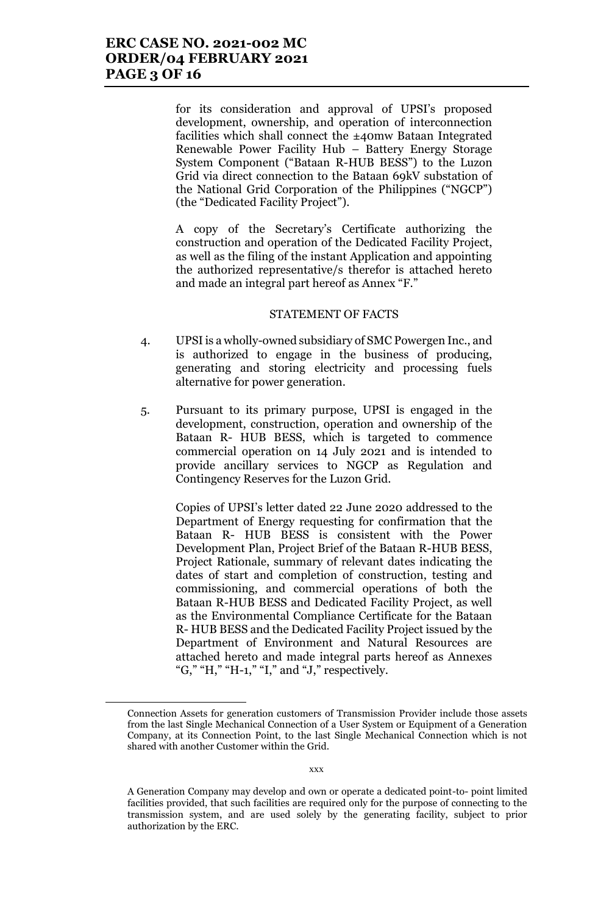for its consideration and approval of UPSI's proposed development, ownership, and operation of interconnection facilities which shall connect the ±40mw Bataan Integrated Renewable Power Facility Hub – Battery Energy Storage System Component ("Bataan R-HUB BESS") to the Luzon Grid via direct connection to the Bataan 69kV substation of the National Grid Corporation of the Philippines ("NGCP") (the "Dedicated Facility Project").

A copy of the Secretary's Certificate authorizing the construction and operation of the Dedicated Facility Project, as well as the filing of the instant Application and appointing the authorized representative/s therefor is attached hereto and made an integral part hereof as Annex "F."

#### STATEMENT OF FACTS

- 4. UPSI is a wholly-owned subsidiary of SMC Powergen Inc., and is authorized to engage in the business of producing, generating and storing electricity and processing fuels alternative for power generation.
- 5. Pursuant to its primary purpose, UPSI is engaged in the development, construction, operation and ownership of the Bataan R- HUB BESS, which is targeted to commence commercial operation on 14 July 2021 and is intended to provide ancillary services to NGCP as Regulation and Contingency Reserves for the Luzon Grid.

Copies of UPSI's letter dated 22 June 2020 addressed to the Department of Energy requesting for confirmation that the Bataan R- HUB BESS is consistent with the Power Development Plan, Project Brief of the Bataan R-HUB BESS, Project Rationale, summary of relevant dates indicating the dates of start and completion of construction, testing and commissioning, and commercial operations of both the Bataan R-HUB BESS and Dedicated Facility Project, as well as the Environmental Compliance Certificate for the Bataan R- HUB BESS and the Dedicated Facility Project issued by the Department of Environment and Natural Resources are attached hereto and made integral parts hereof as Annexes "G," "H," "H-1," "I," and "J," respectively.

Connection Assets for generation customers of Transmission Provider include those assets from the last Single Mechanical Connection of a User System or Equipment of a Generation Company, at its Connection Point, to the last Single Mechanical Connection which is not shared with another Customer within the Grid.

A Generation Company may develop and own or operate a dedicated point-to- point limited facilities provided, that such facilities are required only for the purpose of connecting to the transmission system, and are used solely by the generating facility, subject to prior authorization by the ERC.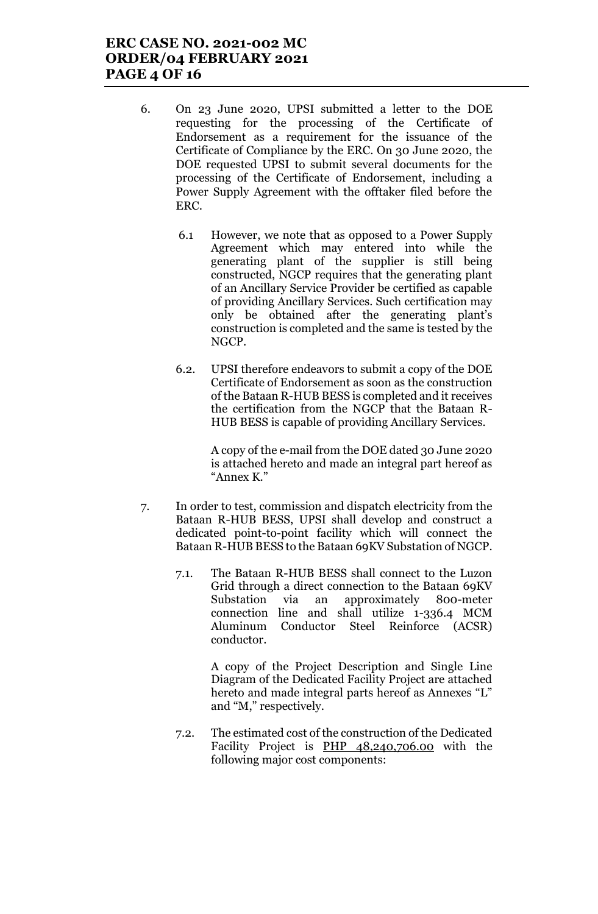# **ERC CASE NO. 2021-002 MC ORDER/04 FEBRUARY 2021 PAGE 4 OF 16**

- 6. On 23 June 2020, UPSI submitted a letter to the DOE requesting for the processing of the Certificate of Endorsement as a requirement for the issuance of the Certificate of Compliance by the ERC. On 30 June 2020, the DOE requested UPSI to submit several documents for the processing of the Certificate of Endorsement, including a Power Supply Agreement with the offtaker filed before the ERC.
	- 6.1 However, we note that as opposed to a Power Supply Agreement which may entered into while the generating plant of the supplier is still being constructed, NGCP requires that the generating plant of an Ancillary Service Provider be certified as capable of providing Ancillary Services. Such certification may only be obtained after the generating plant's construction is completed and the same is tested by the NGCP.
	- 6.2. UPSI therefore endeavors to submit a copy of the DOE Certificate of Endorsement as soon as the construction of the Bataan R-HUB BESS is completed and it receives the certification from the NGCP that the Bataan R-HUB BESS is capable of providing Ancillary Services.

A copy of the e-mail from the DOE dated 30 June 2020 is attached hereto and made an integral part hereof as "Annex K."

- 7. In order to test, commission and dispatch electricity from the Bataan R-HUB BESS, UPSI shall develop and construct a dedicated point-to-point facility which will connect the Bataan R-HUB BESS to the Bataan 69KV Substation of NGCP.
	- 7.1. The Bataan R-HUB BESS shall connect to the Luzon Grid through a direct connection to the Bataan 69KV Substation via an approximately 800-meter connection line and shall utilize 1-336.4 MCM Aluminum Conductor Steel Reinforce (ACSR) conductor.

A copy of the Project Description and Single Line Diagram of the Dedicated Facility Project are attached hereto and made integral parts hereof as Annexes "L" and "M," respectively.

7.2. The estimated cost of the construction of the Dedicated Facility Project is PHP 48,240,706.00 with the following major cost components: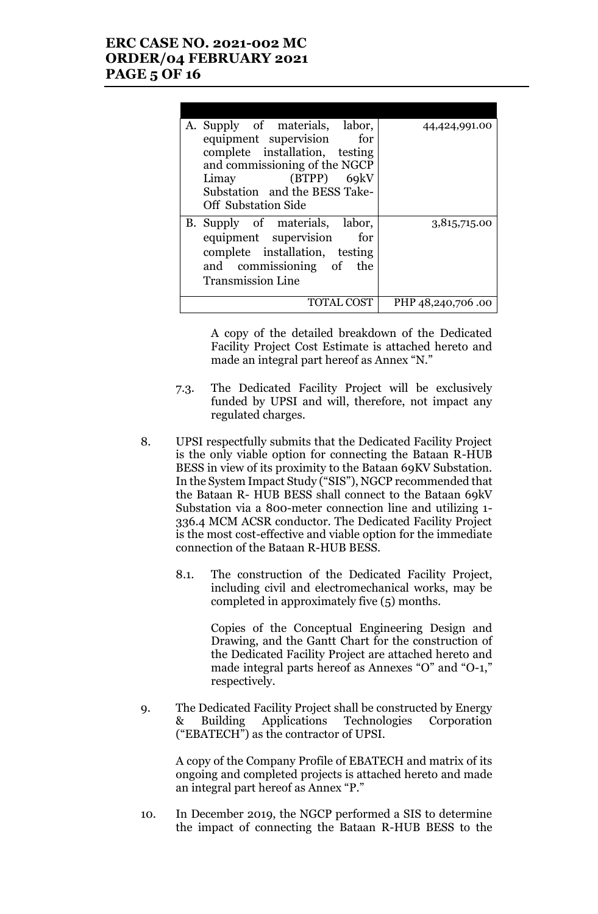# **ERC CASE NO. 2021-002 MC ORDER/04 FEBRUARY 2021 PAGE 5 OF 16**

| A. Supply of materials, labor, | 44,424,991.00     |
|--------------------------------|-------------------|
| equipment supervision<br>for   |                   |
| complete installation, testing |                   |
| and commissioning of the NGCP  |                   |
| Limay (BTPP) 69kV              |                   |
| Substation and the BESS Take-  |                   |
| <b>Off</b> Substation Side     |                   |
| B. Supply of materials, labor, | 3,815,715.00      |
| equipment supervision<br>for   |                   |
| complete installation, testing |                   |
| and commissioning of the       |                   |
|                                |                   |
| <b>Transmission Line</b>       |                   |
| TOTAL COST                     | PHP 48,240,706.00 |
|                                |                   |

A copy of the detailed breakdown of the Dedicated Facility Project Cost Estimate is attached hereto and made an integral part hereof as Annex "N."

- 7.3. The Dedicated Facility Project will be exclusively funded by UPSI and will, therefore, not impact any regulated charges.
- 8. UPSI respectfully submits that the Dedicated Facility Project is the only viable option for connecting the Bataan R-HUB BESS in view of its proximity to the Bataan 69KV Substation. In the System Impact Study ("SIS"), NGCP recommended that the Bataan R- HUB BESS shall connect to the Bataan 69kV Substation via a 800-meter connection line and utilizing 1- 336.4 MCM ACSR conductor. The Dedicated Facility Project is the most cost-effective and viable option for the immediate connection of the Bataan R-HUB BESS.
	- 8.1. The construction of the Dedicated Facility Project, including civil and electromechanical works, may be completed in approximately five (5) months.

Copies of the Conceptual Engineering Design and Drawing, and the Gantt Chart for the construction of the Dedicated Facility Project are attached hereto and made integral parts hereof as Annexes "O" and "O-1," respectively.

9. The Dedicated Facility Project shall be constructed by Energy & Building Applications Technologies Corporation ("EBATECH") as the contractor of UPSI.

A copy of the Company Profile of EBATECH and matrix of its ongoing and completed projects is attached hereto and made an integral part hereof as Annex "P."

10. In December 2019, the NGCP performed a SIS to determine the impact of connecting the Bataan R-HUB BESS to the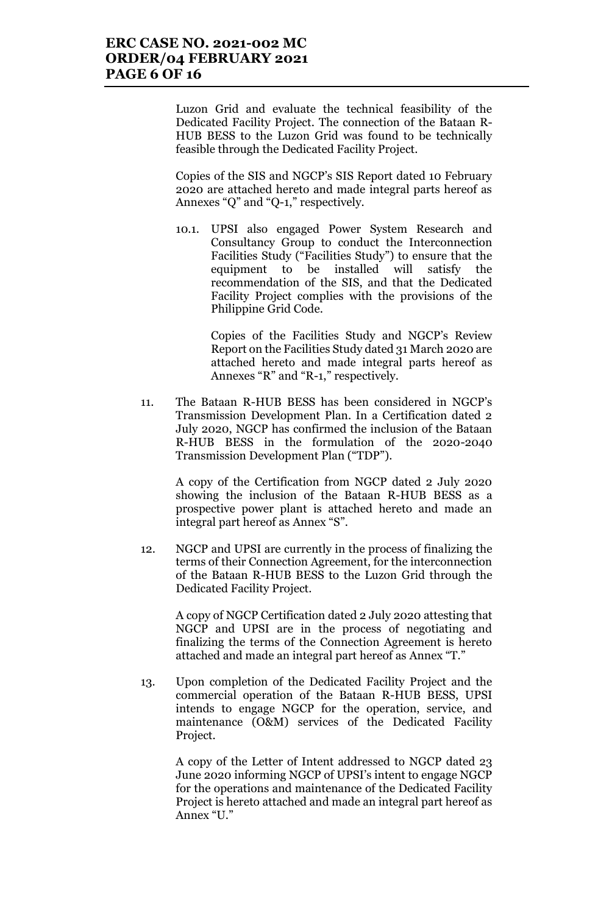Luzon Grid and evaluate the technical feasibility of the Dedicated Facility Project. The connection of the Bataan R-HUB BESS to the Luzon Grid was found to be technically feasible through the Dedicated Facility Project.

Copies of the SIS and NGCP's SIS Report dated 10 February 2020 are attached hereto and made integral parts hereof as Annexes "Q" and "Q-1," respectively.

10.1. UPSI also engaged Power System Research and Consultancy Group to conduct the Interconnection Facilities Study ("Facilities Study") to ensure that the equipment to be installed will satisfy the recommendation of the SIS, and that the Dedicated Facility Project complies with the provisions of the Philippine Grid Code.

> Copies of the Facilities Study and NGCP's Review Report on the Facilities Study dated 31 March 2020 are attached hereto and made integral parts hereof as Annexes "R" and "R-1," respectively.

11. The Bataan R-HUB BESS has been considered in NGCP's Transmission Development Plan. In a Certification dated 2 July 2020, NGCP has confirmed the inclusion of the Bataan R-HUB BESS in the formulation of the 2020-2040 Transmission Development Plan ("TDP").

A copy of the Certification from NGCP dated 2 July 2020 showing the inclusion of the Bataan R-HUB BESS as a prospective power plant is attached hereto and made an integral part hereof as Annex "S".

12. NGCP and UPSI are currently in the process of finalizing the terms of their Connection Agreement, for the interconnection of the Bataan R-HUB BESS to the Luzon Grid through the Dedicated Facility Project.

A copy of NGCP Certification dated 2 July 2020 attesting that NGCP and UPSI are in the process of negotiating and finalizing the terms of the Connection Agreement is hereto attached and made an integral part hereof as Annex "T."

13. Upon completion of the Dedicated Facility Project and the commercial operation of the Bataan R-HUB BESS, UPSI intends to engage NGCP for the operation, service, and maintenance (O&M) services of the Dedicated Facility Project.

A copy of the Letter of Intent addressed to NGCP dated 23 June 2020 informing NGCP of UPSI's intent to engage NGCP for the operations and maintenance of the Dedicated Facility Project is hereto attached and made an integral part hereof as Annex "U."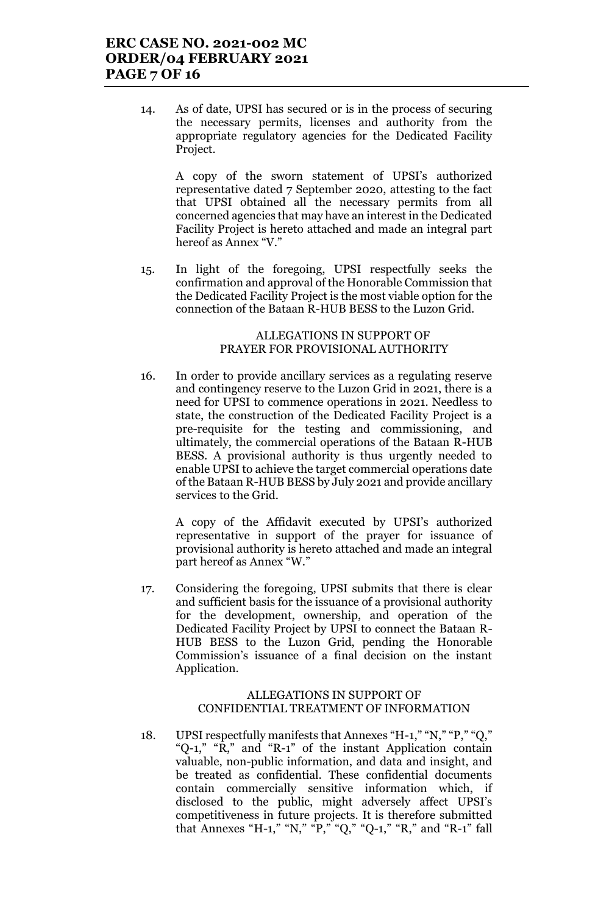14. As of date, UPSI has secured or is in the process of securing the necessary permits, licenses and authority from the appropriate regulatory agencies for the Dedicated Facility Project.

A copy of the sworn statement of UPSI's authorized representative dated 7 September 2020, attesting to the fact that UPSI obtained all the necessary permits from all concerned agencies that may have an interest in the Dedicated Facility Project is hereto attached and made an integral part hereof as Annex "V."

15. In light of the foregoing, UPSI respectfully seeks the confirmation and approval of the Honorable Commission that the Dedicated Facility Project is the most viable option for the connection of the Bataan R-HUB BESS to the Luzon Grid.

#### ALLEGATIONS IN SUPPORT OF PRAYER FOR PROVISIONAL AUTHORITY

16. In order to provide ancillary services as a regulating reserve and contingency reserve to the Luzon Grid in 2021, there is a need for UPSI to commence operations in 2021. Needless to state, the construction of the Dedicated Facility Project is a pre-requisite for the testing and commissioning, and ultimately, the commercial operations of the Bataan R-HUB BESS. A provisional authority is thus urgently needed to enable UPSI to achieve the target commercial operations date of the Bataan R-HUB BESS by July 2021 and provide ancillary services to the Grid.

A copy of the Affidavit executed by UPSI's authorized representative in support of the prayer for issuance of provisional authority is hereto attached and made an integral part hereof as Annex "W."

17. Considering the foregoing, UPSI submits that there is clear and sufficient basis for the issuance of a provisional authority for the development, ownership, and operation of the Dedicated Facility Project by UPSI to connect the Bataan R-HUB BESS to the Luzon Grid, pending the Honorable Commission's issuance of a final decision on the instant Application.

### ALLEGATIONS IN SUPPORT OF CONFIDENTIAL TREATMENT OF INFORMATION

18. UPSI respectfully manifests that Annexes "H-1," "N," "P," "Q," "Q-1," "R," and "R-1" of the instant Application contain valuable, non-public information, and data and insight, and be treated as confidential. These confidential documents contain commercially sensitive information which, if disclosed to the public, might adversely affect UPSI's competitiveness in future projects. It is therefore submitted that Annexes "H-1," "N," "P," "Q," "Q-1," "R," and "R-1" fall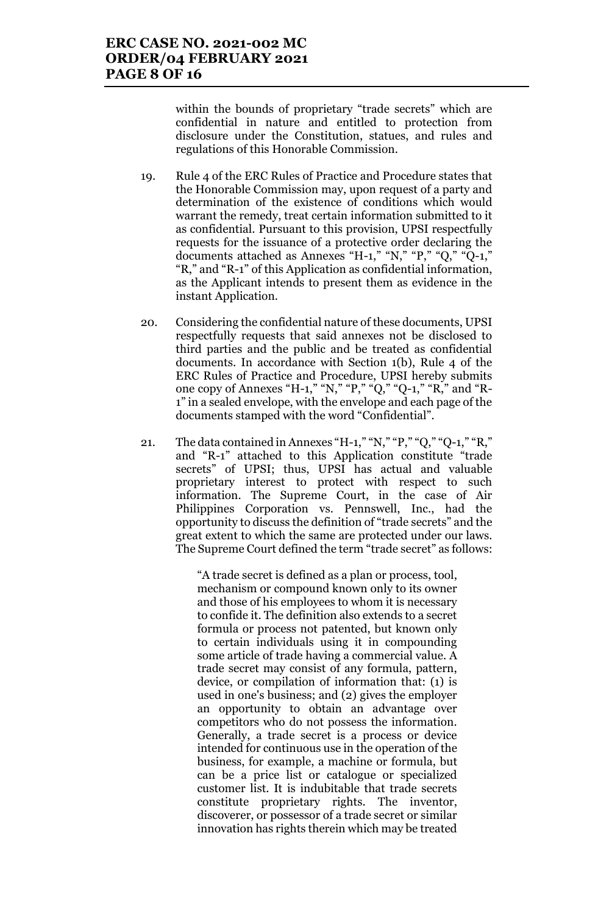within the bounds of proprietary "trade secrets" which are confidential in nature and entitled to protection from disclosure under the Constitution, statues, and rules and regulations of this Honorable Commission.

- 19. Rule 4 of the ERC Rules of Practice and Procedure states that the Honorable Commission may, upon request of a party and determination of the existence of conditions which would warrant the remedy, treat certain information submitted to it as confidential. Pursuant to this provision, UPSI respectfully requests for the issuance of a protective order declaring the documents attached as Annexes "H-1," "N," "P," "Q," "Q-1," "R," and "R-1" of this Application as confidential information, as the Applicant intends to present them as evidence in the instant Application.
- 20. Considering the confidential nature of these documents, UPSI respectfully requests that said annexes not be disclosed to third parties and the public and be treated as confidential documents. In accordance with Section 1(b), Rule 4 of the ERC Rules of Practice and Procedure, UPSI hereby submits one copy of Annexes "H-1," "N," "P," "Q," "Q-1," "R," and "R-1" in a sealed envelope, with the envelope and each page of the documents stamped with the word "Confidential".
- 21. The data contained in Annexes "H-1," "N," "P," "Q," "Q-1," "R," and "R-1" attached to this Application constitute "trade secrets" of UPSI; thus, UPSI has actual and valuable proprietary interest to protect with respect to such information. The Supreme Court, in the case of Air Philippines Corporation vs. Pennswell, Inc., had the opportunity to discuss the definition of "trade secrets" and the great extent to which the same are protected under our laws. The Supreme Court defined the term "trade secret" as follows:

"A trade secret is defined as a plan or process, tool, mechanism or compound known only to its owner and those of his employees to whom it is necessary to confide it. The definition also extends to a secret formula or process not patented, but known only to certain individuals using it in compounding some article of trade having a commercial value. A trade secret may consist of any formula, pattern, device, or compilation of information that: (1) is used in one's business; and (2) gives the employer an opportunity to obtain an advantage over competitors who do not possess the information. Generally, a trade secret is a process or device intended for continuous use in the operation of the business, for example, a machine or formula, but can be a price list or catalogue or specialized customer list. It is indubitable that trade secrets constitute proprietary rights. The inventor, discoverer, or possessor of a trade secret or similar innovation has rights therein which may be treated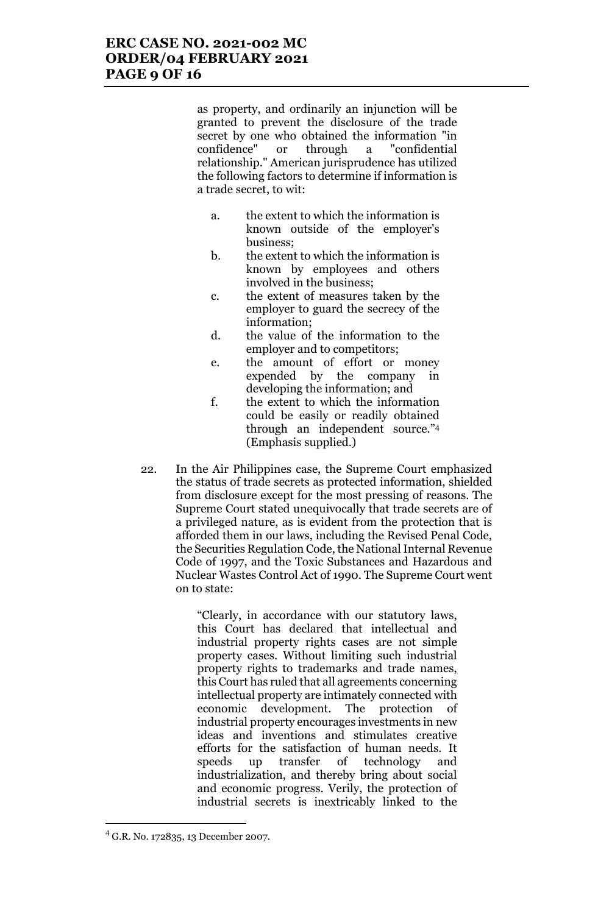as property, and ordinarily an injunction will be granted to prevent the disclosure of the trade secret by one who obtained the information "in confidence" or through a "confidential relationship." American jurisprudence has utilized the following factors to determine if information is a trade secret, to wit:

- a. the extent to which the information is known outside of the employer's business;
- b. the extent to which the information is known by employees and others involved in the business;
- c. the extent of measures taken by the employer to guard the secrecy of the information;
- d. the value of the information to the employer and to competitors;
- e. the amount of effort or money expended by the company in developing the information; and
- f. the extent to which the information could be easily or readily obtained through an independent source."<sup>4</sup> (Emphasis supplied.)
- 22. In the Air Philippines case, the Supreme Court emphasized the status of trade secrets as protected information, shielded from disclosure except for the most pressing of reasons. The Supreme Court stated unequivocally that trade secrets are of a privileged nature, as is evident from the protection that is afforded them in our laws, including the Revised Penal Code, the Securities Regulation Code, the National Internal Revenue Code of 1997, and the Toxic Substances and Hazardous and Nuclear Wastes Control Act of 1990. The Supreme Court went on to state:

"Clearly, in accordance with our statutory laws, this Court has declared that intellectual and industrial property rights cases are not simple property cases. Without limiting such industrial property rights to trademarks and trade names, this Court has ruled that all agreements concerning intellectual property are intimately connected with economic development. The protection of industrial property encourages investments in new ideas and inventions and stimulates creative efforts for the satisfaction of human needs. It speeds up transfer of technology and industrialization, and thereby bring about social and economic progress. Verily, the protection of industrial secrets is inextricably linked to the

 $^{4}$  G.R. No. 172835, 13 December 2007.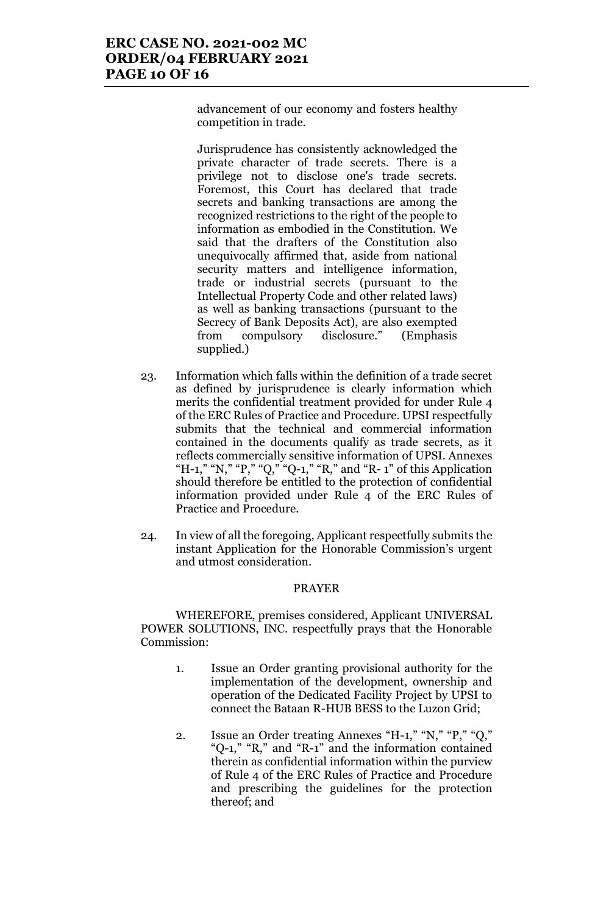advancement of our economy and fosters healthy competition in trade.

Jurisprudence has consistently acknowledged the private character of trade secrets. There is a privilege not to disclose one's trade secrets. Foremost, this Court has declared that trade secrets and banking transactions are among the recognized restrictions to the right of the people to information as embodied in the Constitution. We said that the drafters of the Constitution also unequivocally affirmed that, aside from national security matters and intelligence information, trade or industrial secrets (pursuant to the Intellectual Property Code and other related laws) as well as banking transactions (pursuant to the Secrecy of Bank Deposits Act), are also exempted from compulsory disclosure." (Emphasis supplied.)

- 23. Information which falls within the definition of a trade secret as defined by jurisprudence is clearly information which merits the confidential treatment provided for under Rule 4 of the ERC Rules of Practice and Procedure. UPSI respectfully submits that the technical and commercial information contained in the documents qualify as trade secrets, as it reflects commercially sensitive information of UPSI. Annexes "H-1," "N," "P," "Q," "Q-1," "R," and "R-1" of this Application should therefore be entitled to the protection of confidential information provided under Rule 4 of the ERC Rules of Practice and Procedure.
- 24. In view of all the foregoing, Applicant respectfully submits the instant Application for the Honorable Commission's urgent and utmost consideration.

### PRAYER

WHEREFORE, premises considered, Applicant UNIVERSAL POWER SOLUTIONS, INC. respectfully prays that the Honorable Commission:

- 1. Issue an Order granting provisional authority for the implementation of the development, ownership and operation of the Dedicated Facility Project by UPSI to connect the Bataan R-HUB BESS to the Luzon Grid;
- 2. Issue an Order treating Annexes "H-1," "N," "P," "Q," "Q-1," "R," and "R-1" and the information contained therein as confidential information within the purview of Rule 4 of the ERC Rules of Practice and Procedure and prescribing the guidelines for the protection thereof; and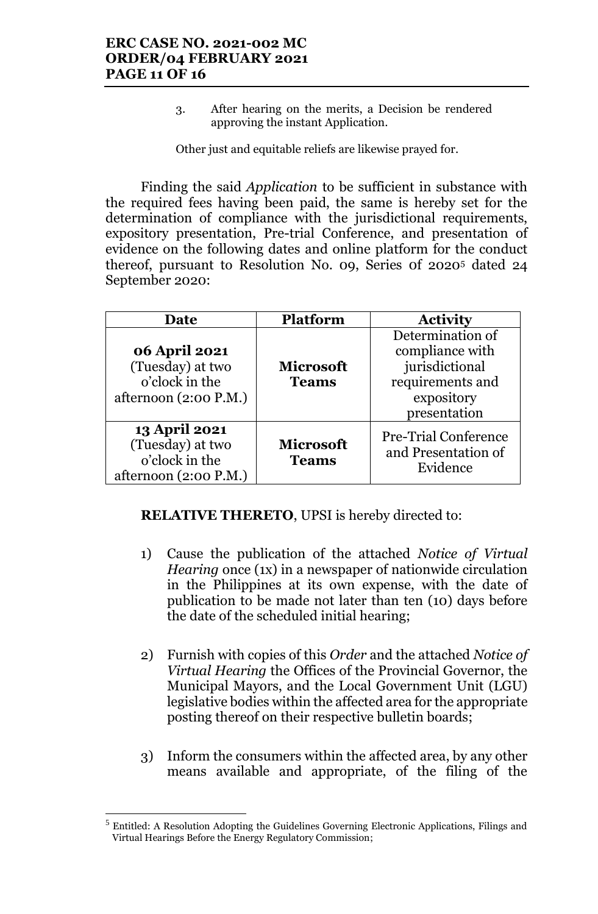3. After hearing on the merits, a Decision be rendered approving the instant Application.

Other just and equitable reliefs are likewise prayed for.

Finding the said *Application* to be sufficient in substance with the required fees having been paid, the same is hereby set for the determination of compliance with the jurisdictional requirements, expository presentation, Pre-trial Conference, and presentation of evidence on the following dates and online platform for the conduct thereof, pursuant to Resolution No. 09, Series 0f 2020<sup>5</sup> dated 24 September 2020:

| Date                                                                                  | <b>Platform</b>                  | <b>Activity</b>                                                                                         |
|---------------------------------------------------------------------------------------|----------------------------------|---------------------------------------------------------------------------------------------------------|
| 06 April 2021<br>(Tuesday) at two<br>o'clock in the<br>afternoon $(2:00 P.M.)$        | <b>Microsoft</b><br><b>Teams</b> | Determination of<br>compliance with<br>jurisdictional<br>requirements and<br>expository<br>presentation |
| <b>13 April 2021</b><br>(Tuesday) at two<br>o'clock in the<br>afternoon $(2:00 P.M.)$ | <b>Microsoft</b><br><b>Teams</b> | <b>Pre-Trial Conference</b><br>and Presentation of<br>Evidence                                          |

**RELATIVE THERETO**, UPSI is hereby directed to:

- 1) Cause the publication of the attached *Notice of Virtual Hearing* once (1x) in a newspaper of nationwide circulation in the Philippines at its own expense, with the date of publication to be made not later than ten (10) days before the date of the scheduled initial hearing;
- 2) Furnish with copies of this *Order* and the attached *Notice of Virtual Hearing* the Offices of the Provincial Governor, the Municipal Mayors, and the Local Government Unit (LGU) legislative bodies within the affected area for the appropriate posting thereof on their respective bulletin boards;
- 3) Inform the consumers within the affected area, by any other means available and appropriate, of the filing of the

 $<sup>5</sup>$  Entitled: A Resolution Adopting the Guidelines Governing Electronic Applications, Filings and</sup> Virtual Hearings Before the Energy Regulatory Commission;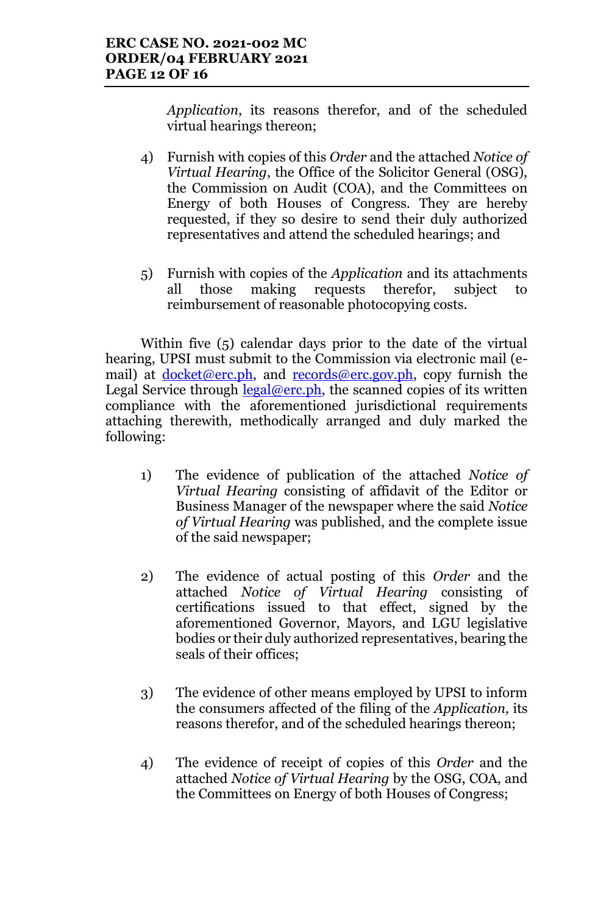*Application*, its reasons therefor, and of the scheduled virtual hearings thereon;

- 4) Furnish with copies of this *Order* and the attached *Notice of Virtual Hearing*, the Office of the Solicitor General (OSG), the Commission on Audit (COA), and the Committees on Energy of both Houses of Congress. They are hereby requested, if they so desire to send their duly authorized representatives and attend the scheduled hearings; and
- 5) Furnish with copies of the *Application* and its attachments all those making requests therefor, subject to reimbursement of reasonable photocopying costs.

Within five (5) calendar days prior to the date of the virtual hearing, UPSI must submit to the Commission via electronic mail (email) at  $d$ ocket@erc.ph, and records@erc.gov.ph, copy furnish the Legal Service through  $\frac{\text{legal@erc.ph}}{\text{legal@erc.ph}}$ , the scanned copies of its written compliance with the aforementioned jurisdictional requirements attaching therewith, methodically arranged and duly marked the following:

- 1) The evidence of publication of the attached *Notice of Virtual Hearing* consisting of affidavit of the Editor or Business Manager of the newspaper where the said *Notice of Virtual Hearing* was published, and the complete issue of the said newspaper;
- 2) The evidence of actual posting of this *Order* and the attached *Notice of Virtual Hearing* consisting of certifications issued to that effect, signed by the aforementioned Governor, Mayors, and LGU legislative bodies or their duly authorized representatives, bearing the seals of their offices;
- 3) The evidence of other means employed by UPSI to inform the consumers affected of the filing of the *Application,* its reasons therefor, and of the scheduled hearings thereon;
- 4) The evidence of receipt of copies of this *Order* and the attached *Notice of Virtual Hearing* by the OSG, COA, and the Committees on Energy of both Houses of Congress;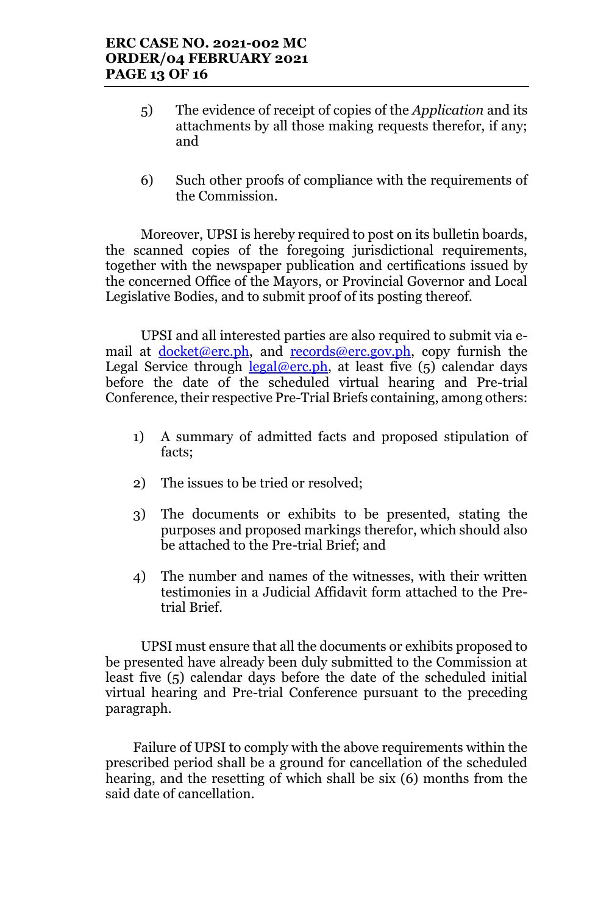- 5) The evidence of receipt of copies of the *Application* and its attachments by all those making requests therefor, if any; and
- 6) Such other proofs of compliance with the requirements of the Commission.

Moreover, UPSI is hereby required to post on its bulletin boards, the scanned copies of the foregoing jurisdictional requirements, together with the newspaper publication and certifications issued by the concerned Office of the Mayors, or Provincial Governor and Local Legislative Bodies, and to submit proof of its posting thereof.

UPSI and all interested parties are also required to submit via email at  $docket@erc.php$ , and  $records@erc.gov.php$ , copy furnish the</u></u> Legal Service through  $\frac{\text{legal@erc.ph}}{\text{length}}$ , at least five (5) calendar days before the date of the scheduled virtual hearing and Pre-trial Conference, their respective Pre-Trial Briefs containing, among others:

- 1) A summary of admitted facts and proposed stipulation of facts;
- 2) The issues to be tried or resolved;
- 3) The documents or exhibits to be presented, stating the purposes and proposed markings therefor, which should also be attached to the Pre-trial Brief; and
- 4) The number and names of the witnesses, with their written testimonies in a Judicial Affidavit form attached to the Pretrial Brief.

UPSI must ensure that all the documents or exhibits proposed to be presented have already been duly submitted to the Commission at least five (5) calendar days before the date of the scheduled initial virtual hearing and Pre-trial Conference pursuant to the preceding paragraph.

Failure of UPSI to comply with the above requirements within the prescribed period shall be a ground for cancellation of the scheduled hearing, and the resetting of which shall be six (6) months from the said date of cancellation.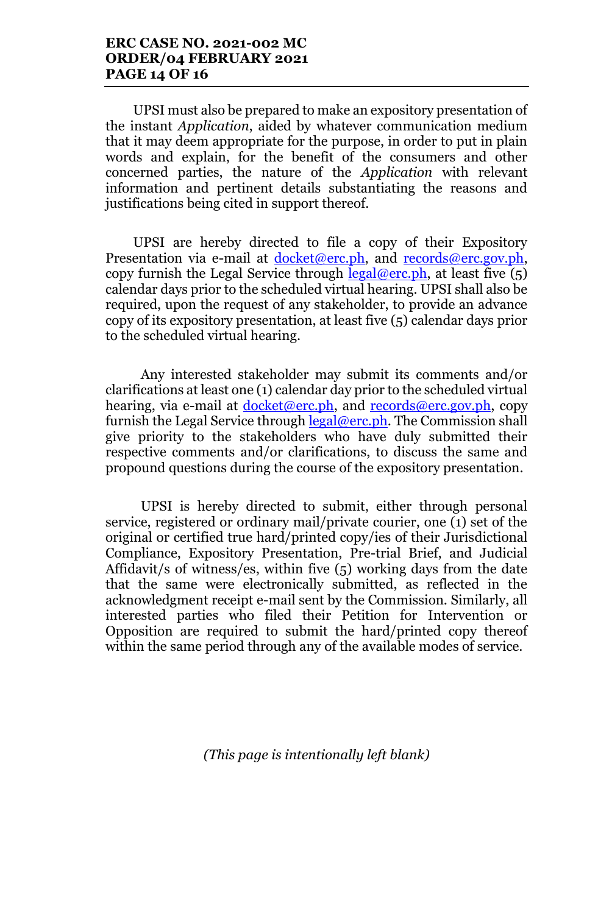# **ERC CASE NO. 2021-002 MC ORDER/04 FEBRUARY 2021 PAGE 14 OF 16**

UPSI must also be prepared to make an expository presentation of the instant *Application*, aided by whatever communication medium that it may deem appropriate for the purpose, in order to put in plain words and explain, for the benefit of the consumers and other concerned parties, the nature of the *Application* with relevant information and pertinent details substantiating the reasons and justifications being cited in support thereof.

UPSI are hereby directed to file a copy of their Expository Presentation via e-mail at docket@erc.ph, and records@erc.gov.ph, copy furnish the Legal Service through  $\text{legal@erc.ph.}$  at least five (5) calendar days prior to the scheduled virtual hearing. UPSI shall also be required, upon the request of any stakeholder, to provide an advance copy of its expository presentation, at least five (5) calendar days prior to the scheduled virtual hearing.

Any interested stakeholder may submit its comments and/or clarifications at least one (1) calendar day prior to the scheduled virtual hearing, via e-mail at docket@erc.ph, and records@erc.gov.ph, copy furnish the Legal Service through  $\text{legal@erc.ph.}$  The Commission shall give priority to the stakeholders who have duly submitted their respective comments and/or clarifications, to discuss the same and propound questions during the course of the expository presentation.

UPSI is hereby directed to submit, either through personal service, registered or ordinary mail/private courier, one (1) set of the original or certified true hard/printed copy/ies of their Jurisdictional Compliance, Expository Presentation, Pre-trial Brief, and Judicial Affidavit/s of witness/es, within five (5) working days from the date that the same were electronically submitted, as reflected in the acknowledgment receipt e-mail sent by the Commission. Similarly, all interested parties who filed their Petition for Intervention or Opposition are required to submit the hard/printed copy thereof within the same period through any of the available modes of service.

*(This page is intentionally left blank)*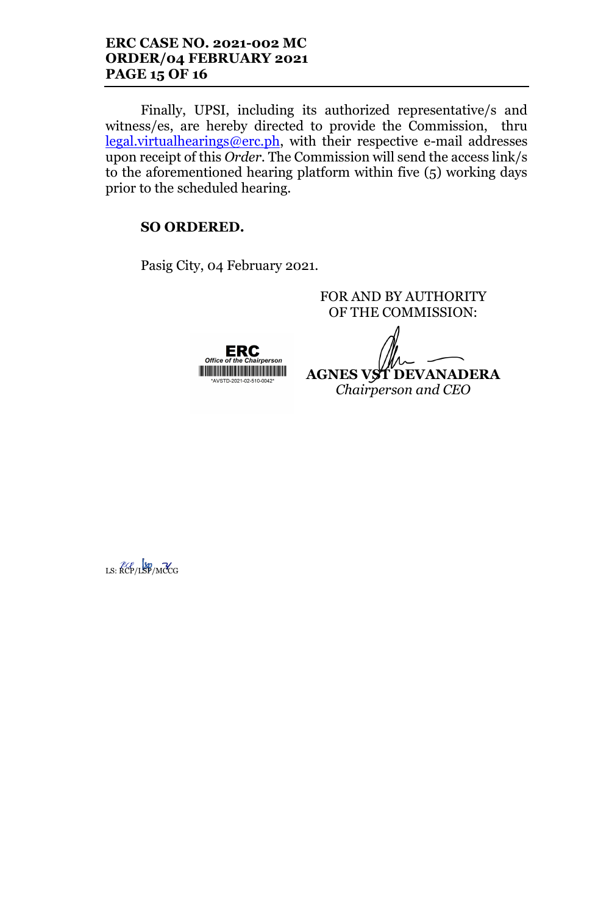Finally, UPSI, including its authorized representative/s and witness/es, are hereby directed to provide the Commission, thru legal.virtualhearings@erc.ph, with their respective e-mail addresses upon receipt of this *Order*. The Commission will send the access link/s to the aforementioned hearing platform within five (5) working days prior to the scheduled hearing.

# **SO ORDERED.**

Pasig City, 04 February 2021.

**ERC**<br>Office of the Chairperson <u> III di kacamatan ing Kabupatèn Bandaran Ing Kabupatèn Bandaran Ing Kabupatèn Bandaran Ing Kabupatèn Bandaran </u>

FOR AND BY AUTHORITY OF THE COMMISSION: **AGNES VST DEVANADERA**

*Chairperson and CEO*

LS: KCP/LSP/MCCG